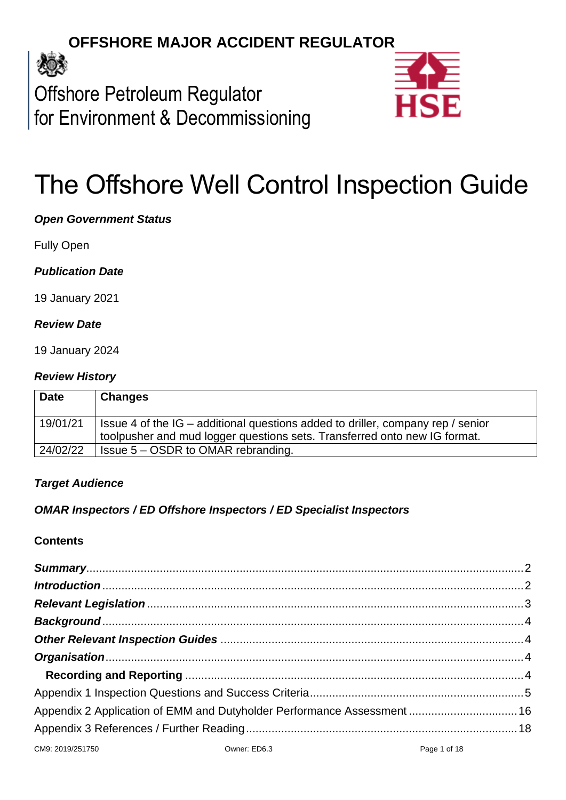# **OFFSHORE MAJOR ACCIDENT REGULATOR**



Offshore Petroleum Regulator for Environment & Decommissioning



# The Offshore Well Control Inspection Guide

# *Open Government Status*

Fully Open

# *Publication Date*

19 January 2021

### *Review Date*

19 January 2024

#### *Review History*

| <b>Date</b> | <b>Changes</b>                                                                  |
|-------------|---------------------------------------------------------------------------------|
| 19/01/21    | Issue 4 of the IG – additional questions added to driller, company rep / senior |
|             | toolpusher and mud logger questions sets. Transferred onto new IG format.       |
| 24/02/22    | Issue 5 – OSDR to OMAR rebranding.                                              |

# *Target Audience*

# *OMAR Inspectors / ED Offshore Inspectors / ED Specialist Inspectors*

#### **Contents**

|                  | Appendix 2 Application of EMM and Dutyholder Performance Assessment  16 |
|------------------|-------------------------------------------------------------------------|
|                  |                                                                         |
| CM9: 2019/251750 | Owner: ED6.3 Page 1 of 18                                               |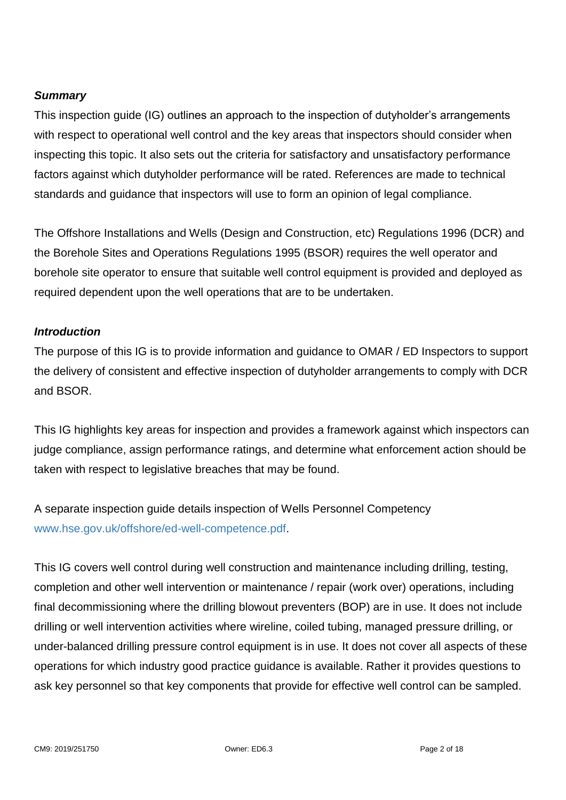# <span id="page-1-0"></span>*Summary*

This inspection guide (IG) outlines an approach to the inspection of dutyholder's arrangements with respect to operational well control and the key areas that inspectors should consider when inspecting this topic. It also sets out the criteria for satisfactory and unsatisfactory performance factors against which dutyholder performance will be rated. References are made to technical standards and guidance that inspectors will use to form an opinion of legal compliance.

The Offshore Installations and Wells (Design and Construction, etc) Regulations 1996 (DCR) and the Borehole Sites and Operations Regulations 1995 (BSOR) requires the well operator and borehole site operator to ensure that suitable well control equipment is provided and deployed as required dependent upon the well operations that are to be undertaken.

### <span id="page-1-1"></span>*Introduction*

The purpose of this IG is to provide information and guidance to OMAR / ED Inspectors to support the delivery of consistent and effective inspection of dutyholder arrangements to comply with DCR and BSOR.

This IG highlights key areas for inspection and provides a framework against which inspectors can judge compliance, assign performance ratings, and determine what enforcement action should be taken with respect to legislative breaches that may be found.

A separate inspection guide details inspection of Wells Personnel Competency [www.hse.gov.uk/offshore/ed-well-competence.pdf.](http://www.hse.gov.uk/offshore/ed-well-competence.pdf)

This IG covers well control during well construction and maintenance including drilling, testing, completion and other well intervention or maintenance / repair (work over) operations, including final decommissioning where the drilling blowout preventers (BOP) are in use. It does not include drilling or well intervention activities where wireline, coiled tubing, managed pressure drilling, or under-balanced drilling pressure control equipment is in use. It does not cover all aspects of these operations for which industry good practice guidance is available. Rather it provides questions to ask key personnel so that key components that provide for effective well control can be sampled.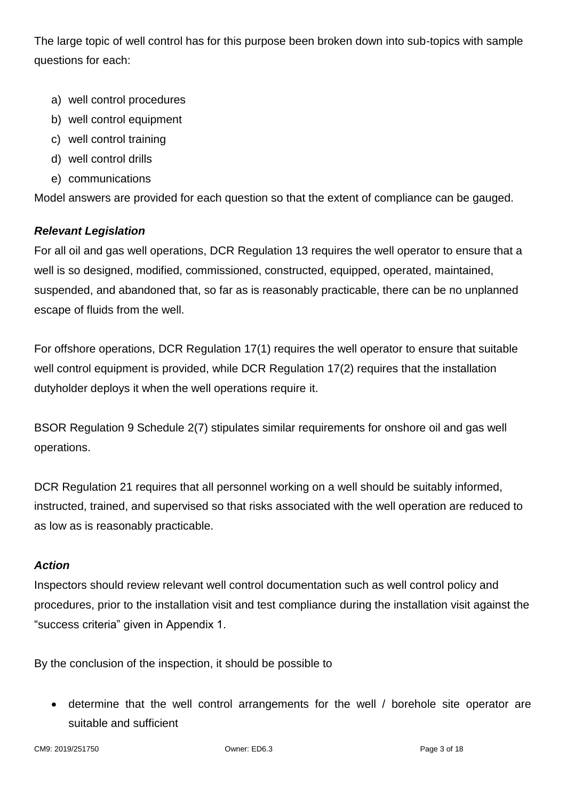The large topic of well control has for this purpose been broken down into sub-topics with sample questions for each:

- a) well control procedures
- b) well control equipment
- c) well control training
- d) well control drills
- e) communications

Model answers are provided for each question so that the extent of compliance can be gauged.

# <span id="page-2-0"></span>*Relevant Legislation*

For all oil and gas well operations, DCR Regulation 13 requires the well operator to ensure that a well is so designed, modified, commissioned, constructed, equipped, operated, maintained, suspended, and abandoned that, so far as is reasonably practicable, there can be no unplanned escape of fluids from the well.

For offshore operations, DCR Regulation 17(1) requires the well operator to ensure that suitable well control equipment is provided, while DCR Regulation 17(2) requires that the installation dutyholder deploys it when the well operations require it.

BSOR Regulation 9 Schedule 2(7) stipulates similar requirements for onshore oil and gas well operations.

DCR Regulation 21 requires that all personnel working on a well should be suitably informed, instructed, trained, and supervised so that risks associated with the well operation are reduced to as low as is reasonably practicable.

# *Action*

Inspectors should review relevant well control documentation such as well control policy and procedures, prior to the installation visit and test compliance during the installation visit against the "success criteria" given in Appendix 1.

By the conclusion of the inspection, it should be possible to

 determine that the well control arrangements for the well / borehole site operator are suitable and sufficient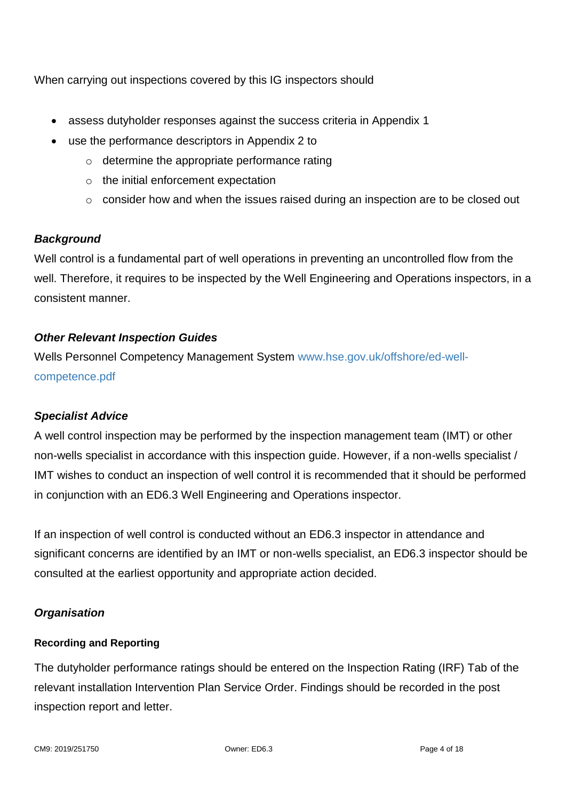When carrying out inspections covered by this IG inspectors should

- assess dutyholder responses against the success criteria in Appendix 1
- use the performance descriptors in Appendix 2 to
	- o determine the appropriate performance rating
	- o the initial enforcement expectation
	- $\circ$  consider how and when the issues raised during an inspection are to be closed out

# <span id="page-3-0"></span>*Background*

Well control is a fundamental part of well operations in preventing an uncontrolled flow from the well. Therefore, it requires to be inspected by the Well Engineering and Operations inspectors, in a consistent manner.

# <span id="page-3-1"></span>*Other Relevant Inspection Guides*

Wells Personnel Competency Management System [www.hse.gov.uk/offshore/ed-well](http://www.hse.gov.uk/offshore/ed-well-competence.pdf)[competence.pdf](http://www.hse.gov.uk/offshore/ed-well-competence.pdf)

#### *Specialist Advice*

A well control inspection may be performed by the inspection management team (IMT) or other non-wells specialist in accordance with this inspection guide. However, if a non-wells specialist / IMT wishes to conduct an inspection of well control it is recommended that it should be performed in conjunction with an ED6.3 Well Engineering and Operations inspector.

If an inspection of well control is conducted without an ED6.3 inspector in attendance and significant concerns are identified by an IMT or non-wells specialist, an ED6.3 inspector should be consulted at the earliest opportunity and appropriate action decided.

# <span id="page-3-2"></span>*Organisation*

#### <span id="page-3-3"></span>**Recording and Reporting**

The dutyholder performance ratings should be entered on the Inspection Rating (IRF) Tab of the relevant installation Intervention Plan Service Order. Findings should be recorded in the post inspection report and letter.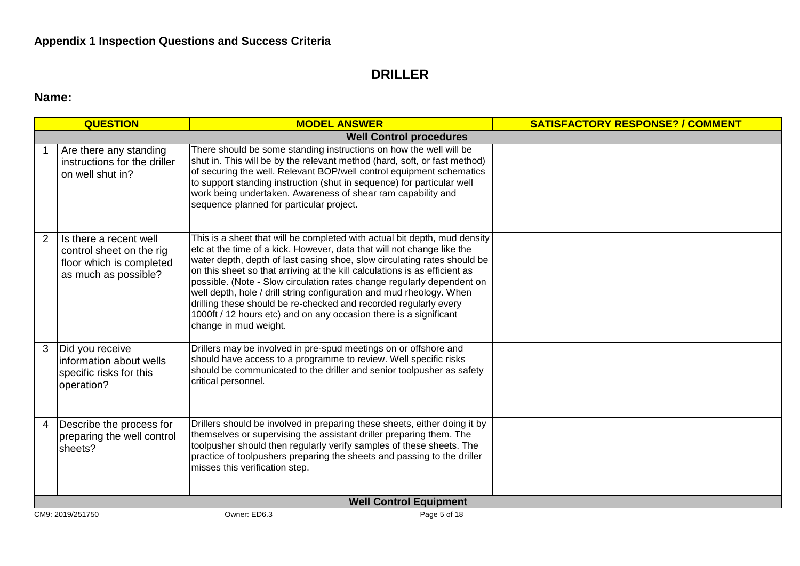# **DRILLER**

# **Name:**

<span id="page-4-0"></span>

|   | <b>QUESTION</b>                                                                                        | <b>MODEL ANSWER</b>                                                                                                                                                                                                                                                                                                                                                                                                                                                                                                                                                                                                               | <b>SATISFACTORY RESPONSE? / COMMENT</b> |
|---|--------------------------------------------------------------------------------------------------------|-----------------------------------------------------------------------------------------------------------------------------------------------------------------------------------------------------------------------------------------------------------------------------------------------------------------------------------------------------------------------------------------------------------------------------------------------------------------------------------------------------------------------------------------------------------------------------------------------------------------------------------|-----------------------------------------|
|   |                                                                                                        | <b>Well Control procedures</b>                                                                                                                                                                                                                                                                                                                                                                                                                                                                                                                                                                                                    |                                         |
|   | Are there any standing<br>instructions for the driller<br>on well shut in?                             | There should be some standing instructions on how the well will be<br>shut in. This will be by the relevant method (hard, soft, or fast method)<br>of securing the well. Relevant BOP/well control equipment schematics<br>to support standing instruction (shut in sequence) for particular well<br>work being undertaken. Awareness of shear ram capability and<br>sequence planned for particular project.                                                                                                                                                                                                                     |                                         |
| 2 | Is there a recent well<br>control sheet on the rig<br>floor which is completed<br>as much as possible? | This is a sheet that will be completed with actual bit depth, mud density<br>etc at the time of a kick. However, data that will not change like the<br>water depth, depth of last casing shoe, slow circulating rates should be<br>on this sheet so that arriving at the kill calculations is as efficient as<br>possible. (Note - Slow circulation rates change regularly dependent on<br>well depth, hole / drill string configuration and mud rheology. When<br>drilling these should be re-checked and recorded regularly every<br>1000ft / 12 hours etc) and on any occasion there is a significant<br>change in mud weight. |                                         |
| 3 | Did you receive<br>information about wells<br>specific risks for this<br>operation?                    | Drillers may be involved in pre-spud meetings on or offshore and<br>should have access to a programme to review. Well specific risks<br>should be communicated to the driller and senior toolpusher as safety<br>critical personnel.                                                                                                                                                                                                                                                                                                                                                                                              |                                         |
| 4 | Describe the process for<br>preparing the well control<br>sheets?                                      | Drillers should be involved in preparing these sheets, either doing it by<br>themselves or supervising the assistant driller preparing them. The<br>toolpusher should then regularly verify samples of these sheets. The<br>practice of toolpushers preparing the sheets and passing to the driller<br>misses this verification step.                                                                                                                                                                                                                                                                                             |                                         |
|   |                                                                                                        | <b>Well Control Equipment</b>                                                                                                                                                                                                                                                                                                                                                                                                                                                                                                                                                                                                     |                                         |
|   | CM9: 2019/251750                                                                                       | Owner: ED6.3<br>Page 5 of 18                                                                                                                                                                                                                                                                                                                                                                                                                                                                                                                                                                                                      |                                         |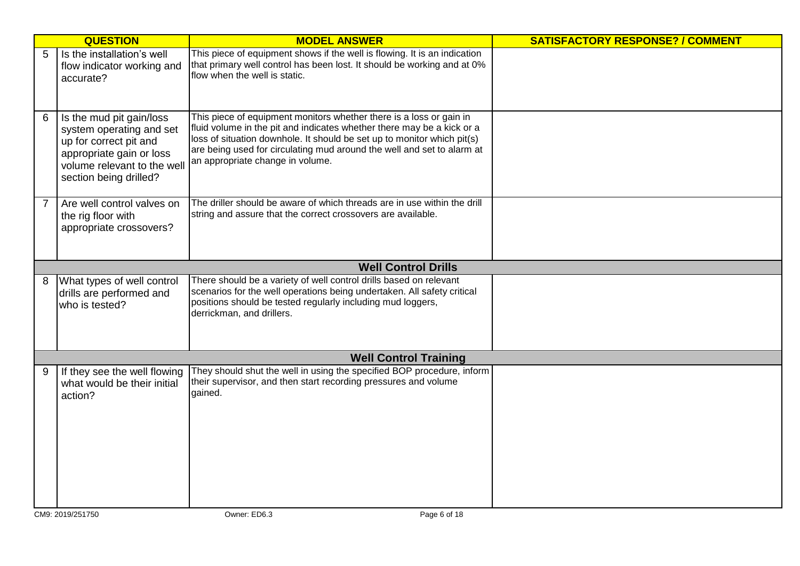|   | <b>QUESTION</b>                                                                                                                                                     | <b>MODEL ANSWER</b>                                                                                                                                                                                                                                                                                                                    | <b>SATISFACTORY RESPONSE? / COMMENT</b> |
|---|---------------------------------------------------------------------------------------------------------------------------------------------------------------------|----------------------------------------------------------------------------------------------------------------------------------------------------------------------------------------------------------------------------------------------------------------------------------------------------------------------------------------|-----------------------------------------|
| 5 | Is the installation's well<br>flow indicator working and<br>accurate?                                                                                               | This piece of equipment shows if the well is flowing. It is an indication<br>that primary well control has been lost. It should be working and at 0%<br>flow when the well is static.                                                                                                                                                  |                                         |
| 6 | Is the mud pit gain/loss<br>system operating and set<br>up for correct pit and<br>appropriate gain or loss<br>volume relevant to the well<br>section being drilled? | This piece of equipment monitors whether there is a loss or gain in<br>fluid volume in the pit and indicates whether there may be a kick or a<br>loss of situation downhole. It should be set up to monitor which pit(s)<br>are being used for circulating mud around the well and set to alarm at<br>an appropriate change in volume. |                                         |
| 7 | Are well control valves on<br>the rig floor with<br>appropriate crossovers?                                                                                         | The driller should be aware of which threads are in use within the drill<br>string and assure that the correct crossovers are available.                                                                                                                                                                                               |                                         |
|   |                                                                                                                                                                     | <b>Well Control Drills</b>                                                                                                                                                                                                                                                                                                             |                                         |
| 8 | What types of well control<br>drills are performed and<br>who is tested?                                                                                            | There should be a variety of well control drills based on relevant<br>scenarios for the well operations being undertaken. All safety critical<br>positions should be tested regularly including mud loggers,<br>derrickman, and drillers.                                                                                              |                                         |
|   |                                                                                                                                                                     | <b>Well Control Training</b>                                                                                                                                                                                                                                                                                                           |                                         |
| 9 | If they see the well flowing<br>what would be their initial<br>action?                                                                                              | They should shut the well in using the specified BOP procedure, inform<br>their supervisor, and then start recording pressures and volume<br>gained.                                                                                                                                                                                   |                                         |
|   | CM9: 2019/251750                                                                                                                                                    | Owner: ED6.3<br>Page 6 of 18                                                                                                                                                                                                                                                                                                           |                                         |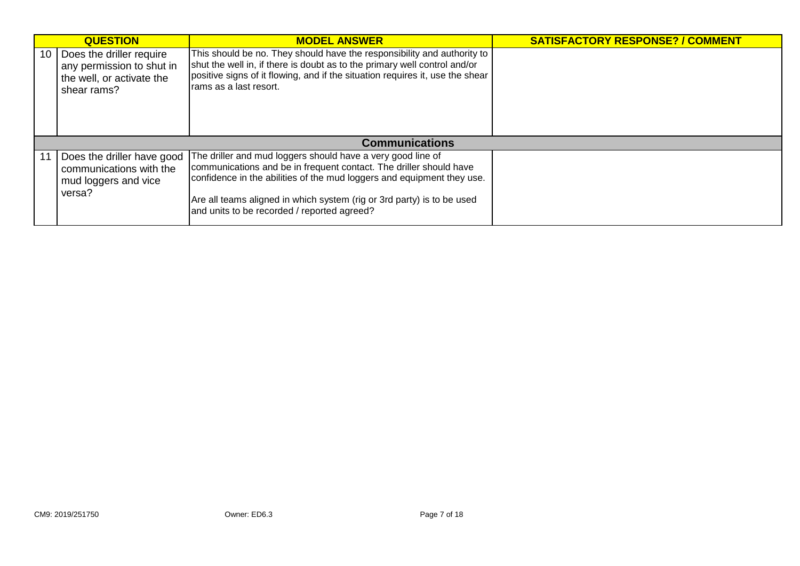| <b>QUESTION</b>                                                                                        | <b>MODEL ANSWER</b>                                                                                                                                                                                                                                                                                                                  | <b>SATISFACTORY RESPONSE? / COMMENT</b> |
|--------------------------------------------------------------------------------------------------------|--------------------------------------------------------------------------------------------------------------------------------------------------------------------------------------------------------------------------------------------------------------------------------------------------------------------------------------|-----------------------------------------|
| 10   Does the driller require<br>any permission to shut in<br>the well, or activate the<br>shear rams? | This should be no. They should have the responsibility and authority to<br>shut the well in, if there is doubt as to the primary well control and/or<br>positive signs of it flowing, and if the situation requires it, use the shear<br>rams as a last resort.                                                                      |                                         |
|                                                                                                        | <b>Communications</b>                                                                                                                                                                                                                                                                                                                |                                         |
| 11   Does the driller have good<br>communications with the<br>mud loggers and vice<br>versa?           | The driller and mud loggers should have a very good line of<br>communications and be in frequent contact. The driller should have<br>confidence in the abilities of the mud loggers and equipment they use.<br>Are all teams aligned in which system (rig or 3rd party) is to be used<br>and units to be recorded / reported agreed? |                                         |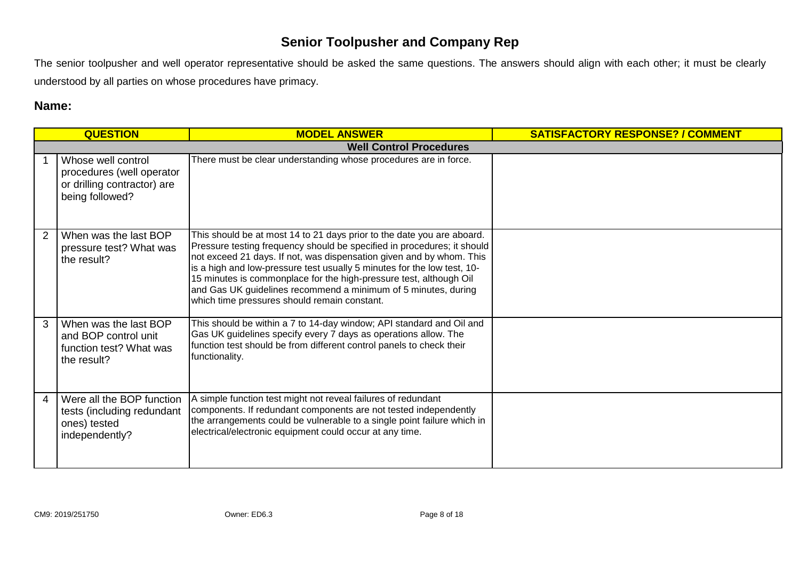# **Senior Toolpusher and Company Rep**

The senior toolpusher and well operator representative should be asked the same questions. The answers should align with each other; it must be clearly understood by all parties on whose procedures have primacy.

# **Name:**

|   | <b>QUESTION</b>                                                                                   | <b>MODEL ANSWER</b>                                                                                                                                                                                                                                                                                                                                                                                                                                                                          | <b>SATISFACTORY RESPONSE? / COMMENT</b> |
|---|---------------------------------------------------------------------------------------------------|----------------------------------------------------------------------------------------------------------------------------------------------------------------------------------------------------------------------------------------------------------------------------------------------------------------------------------------------------------------------------------------------------------------------------------------------------------------------------------------------|-----------------------------------------|
|   |                                                                                                   | <b>Well Control Procedures</b>                                                                                                                                                                                                                                                                                                                                                                                                                                                               |                                         |
|   | Whose well control<br>procedures (well operator<br>or drilling contractor) are<br>being followed? | There must be clear understanding whose procedures are in force.                                                                                                                                                                                                                                                                                                                                                                                                                             |                                         |
| 2 | When was the last BOP<br>pressure test? What was<br>the result?                                   | This should be at most 14 to 21 days prior to the date you are aboard.<br>Pressure testing frequency should be specified in procedures; it should<br>not exceed 21 days. If not, was dispensation given and by whom. This<br>is a high and low-pressure test usually 5 minutes for the low test, 10-<br>15 minutes is commonplace for the high-pressure test, although Oil<br>and Gas UK guidelines recommend a minimum of 5 minutes, during<br>which time pressures should remain constant. |                                         |
| 3 | When was the last BOP<br>and BOP control unit<br>function test? What was<br>the result?           | This should be within a 7 to 14-day window; API standard and Oil and<br>Gas UK guidelines specify every 7 days as operations allow. The<br>function test should be from different control panels to check their<br>functionality.                                                                                                                                                                                                                                                            |                                         |
| 4 | Were all the BOP function<br>tests (including redundant<br>ones) tested<br>independently?         | A simple function test might not reveal failures of redundant<br>components. If redundant components are not tested independently<br>the arrangements could be vulnerable to a single point failure which in<br>electrical/electronic equipment could occur at any time.                                                                                                                                                                                                                     |                                         |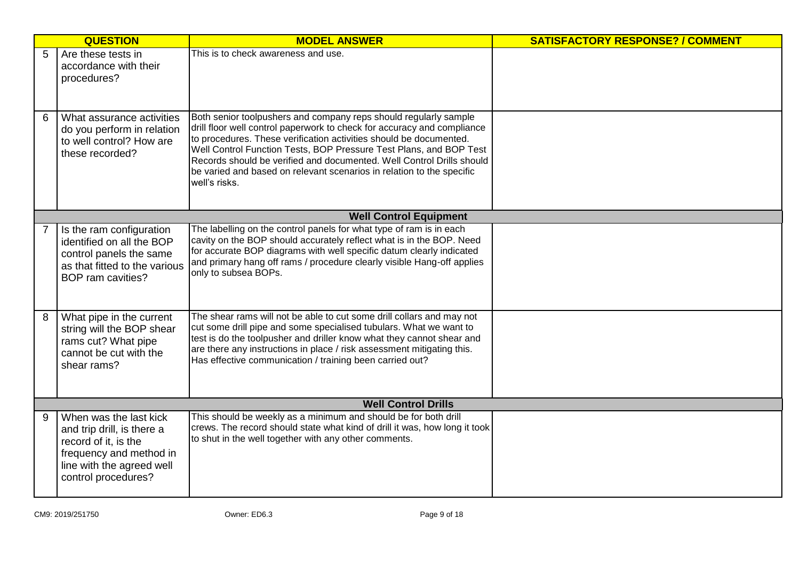|   | <b>QUESTION</b>                                                                                                                                             | <b>MODEL ANSWER</b>                                                                                                                                                                                                                                                                                                                                                                                                                                        | <b>SATISFACTORY RESPONSE? / COMMENT</b> |
|---|-------------------------------------------------------------------------------------------------------------------------------------------------------------|------------------------------------------------------------------------------------------------------------------------------------------------------------------------------------------------------------------------------------------------------------------------------------------------------------------------------------------------------------------------------------------------------------------------------------------------------------|-----------------------------------------|
| 5 | Are these tests in<br>accordance with their<br>procedures?                                                                                                  | This is to check awareness and use.                                                                                                                                                                                                                                                                                                                                                                                                                        |                                         |
| 6 | What assurance activities<br>do you perform in relation<br>to well control? How are<br>these recorded?                                                      | Both senior toolpushers and company reps should regularly sample<br>drill floor well control paperwork to check for accuracy and compliance<br>to procedures. These verification activities should be documented.<br>Well Control Function Tests, BOP Pressure Test Plans, and BOP Test<br>Records should be verified and documented. Well Control Drills should<br>be varied and based on relevant scenarios in relation to the specific<br>well's risks. |                                         |
|   |                                                                                                                                                             | <b>Well Control Equipment</b>                                                                                                                                                                                                                                                                                                                                                                                                                              |                                         |
|   | Is the ram configuration<br>identified on all the BOP<br>control panels the same<br>as that fitted to the various<br>BOP ram cavities?                      | The labelling on the control panels for what type of ram is in each<br>cavity on the BOP should accurately reflect what is in the BOP. Need<br>for accurate BOP diagrams with well specific datum clearly indicated<br>and primary hang off rams / procedure clearly visible Hang-off applies<br>only to subsea BOPs.                                                                                                                                      |                                         |
| 8 | What pipe in the current<br>string will the BOP shear<br>rams cut? What pipe<br>cannot be cut with the<br>shear rams?                                       | The shear rams will not be able to cut some drill collars and may not<br>cut some drill pipe and some specialised tubulars. What we want to<br>test is do the toolpusher and driller know what they cannot shear and<br>are there any instructions in place / risk assessment mitigating this.<br>Has effective communication / training been carried out?                                                                                                 |                                         |
|   |                                                                                                                                                             | <b>Well Control Drills</b>                                                                                                                                                                                                                                                                                                                                                                                                                                 |                                         |
| 9 | When was the last kick<br>and trip drill, is there a<br>record of it, is the<br>frequency and method in<br>line with the agreed well<br>control procedures? | This should be weekly as a minimum and should be for both drill<br>crews. The record should state what kind of drill it was, how long it took<br>to shut in the well together with any other comments.                                                                                                                                                                                                                                                     |                                         |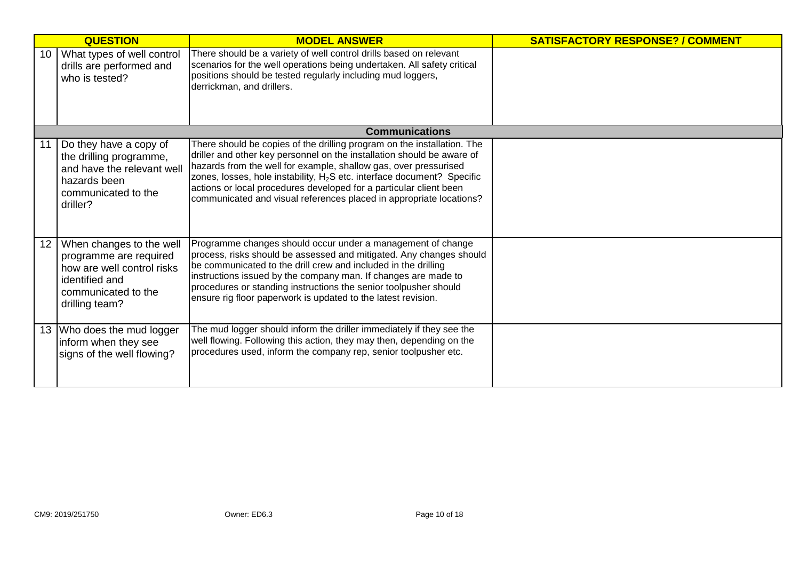|    | <b>QUESTION</b>                                                                                                                             | <b>MODEL ANSWER</b>                                                                                                                                                                                                                                                                                                                                                                                                                                       | <b>SATISFACTORY RESPONSE? / COMMENT</b> |
|----|---------------------------------------------------------------------------------------------------------------------------------------------|-----------------------------------------------------------------------------------------------------------------------------------------------------------------------------------------------------------------------------------------------------------------------------------------------------------------------------------------------------------------------------------------------------------------------------------------------------------|-----------------------------------------|
| 10 | What types of well control<br>drills are performed and<br>who is tested?                                                                    | There should be a variety of well control drills based on relevant<br>scenarios for the well operations being undertaken. All safety critical<br>positions should be tested regularly including mud loggers,<br>derrickman, and drillers.                                                                                                                                                                                                                 |                                         |
|    |                                                                                                                                             | <b>Communications</b>                                                                                                                                                                                                                                                                                                                                                                                                                                     |                                         |
|    | Do they have a copy of<br>the drilling programme,<br>and have the relevant well<br>hazards been<br>communicated to the<br>driller?          | There should be copies of the drilling program on the installation. The<br>driller and other key personnel on the installation should be aware of<br>hazards from the well for example, shallow gas, over pressurised<br>zones, losses, hole instability, H <sub>2</sub> S etc. interface document? Specific<br>actions or local procedures developed for a particular client been<br>communicated and visual references placed in appropriate locations? |                                         |
| 12 | When changes to the well<br>programme are required<br>how are well control risks<br>identified and<br>communicated to the<br>drilling team? | Programme changes should occur under a management of change<br>process, risks should be assessed and mitigated. Any changes should<br>be communicated to the drill crew and included in the drilling<br>instructions issued by the company man. If changes are made to<br>procedures or standing instructions the senior toolpusher should<br>ensure rig floor paperwork is updated to the latest revision.                                               |                                         |
| 13 | Who does the mud logger<br>inform when they see<br>signs of the well flowing?                                                               | The mud logger should inform the driller immediately if they see the<br>well flowing. Following this action, they may then, depending on the<br>procedures used, inform the company rep, senior toolpusher etc.                                                                                                                                                                                                                                           |                                         |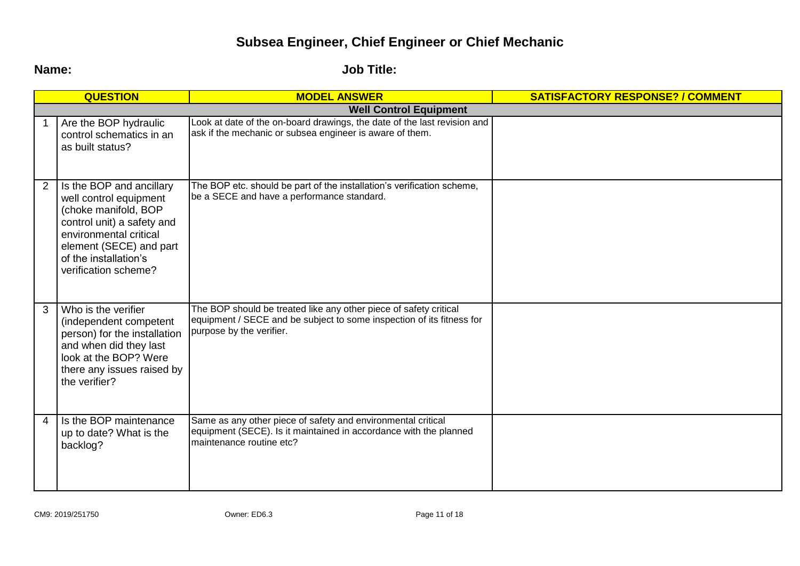# **Subsea Engineer, Chief Engineer or Chief Mechanic**

**Name: Job Title:**

|   | <b>QUESTION</b>                                                                                                                                                                                                | <b>MODEL ANSWER</b>                                                                                                                                                    | <b>SATISFACTORY RESPONSE? / COMMENT</b> |
|---|----------------------------------------------------------------------------------------------------------------------------------------------------------------------------------------------------------------|------------------------------------------------------------------------------------------------------------------------------------------------------------------------|-----------------------------------------|
|   |                                                                                                                                                                                                                | <b>Well Control Equipment</b>                                                                                                                                          |                                         |
|   | Are the BOP hydraulic<br>control schematics in an<br>as built status?                                                                                                                                          | Look at date of the on-board drawings, the date of the last revision and<br>ask if the mechanic or subsea engineer is aware of them.                                   |                                         |
|   | Is the BOP and ancillary<br>well control equipment<br>(choke manifold, BOP<br>control unit) a safety and<br>environmental critical<br>element (SECE) and part<br>of the installation's<br>verification scheme? | The BOP etc. should be part of the installation's verification scheme,<br>be a SECE and have a performance standard.                                                   |                                         |
| 3 | Who is the verifier<br>(independent competent<br>person) for the installation<br>and when did they last<br>look at the BOP? Were<br>there any issues raised by<br>the verifier?                                | The BOP should be treated like any other piece of safety critical<br>equipment / SECE and be subject to some inspection of its fitness for<br>purpose by the verifier. |                                         |
| 4 | Is the BOP maintenance<br>up to date? What is the<br>backlog?                                                                                                                                                  | Same as any other piece of safety and environmental critical<br>equipment (SECE). Is it maintained in accordance with the planned<br>maintenance routine etc?          |                                         |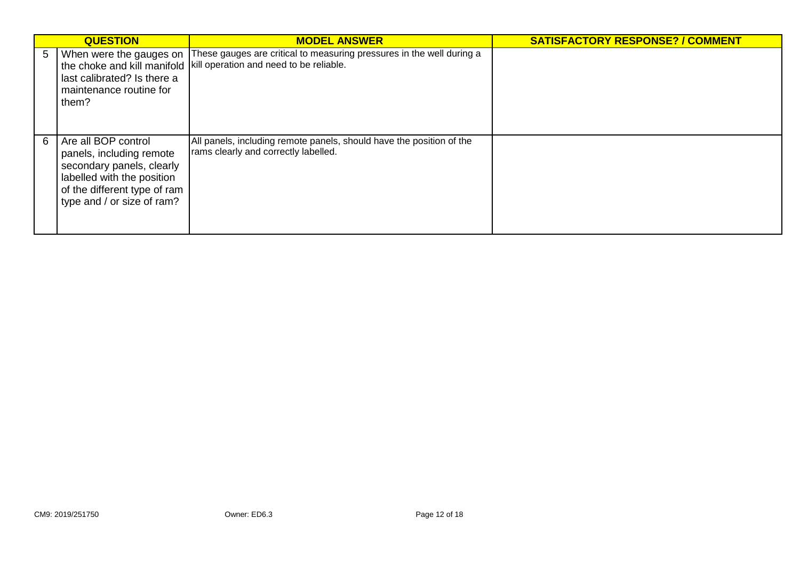|   | <b>QUESTION</b>                                                                                                                                                          | <b>MODEL ANSWER</b>                                                                                                                            | <b>SATISFACTORY RESPONSE? / COMMENT</b> |
|---|--------------------------------------------------------------------------------------------------------------------------------------------------------------------------|------------------------------------------------------------------------------------------------------------------------------------------------|-----------------------------------------|
| 5 | When were the gauges on<br>last calibrated? Is there a<br>maintenance routine for<br>them?                                                                               | These gauges are critical to measuring pressures in the well during a<br>the choke and kill manifold   kill operation and need to be reliable. |                                         |
| 6 | Are all BOP control<br>panels, including remote<br>secondary panels, clearly<br>labelled with the position<br>of the different type of ram<br>type and / or size of ram? | All panels, including remote panels, should have the position of the<br>rams clearly and correctly labelled.                                   |                                         |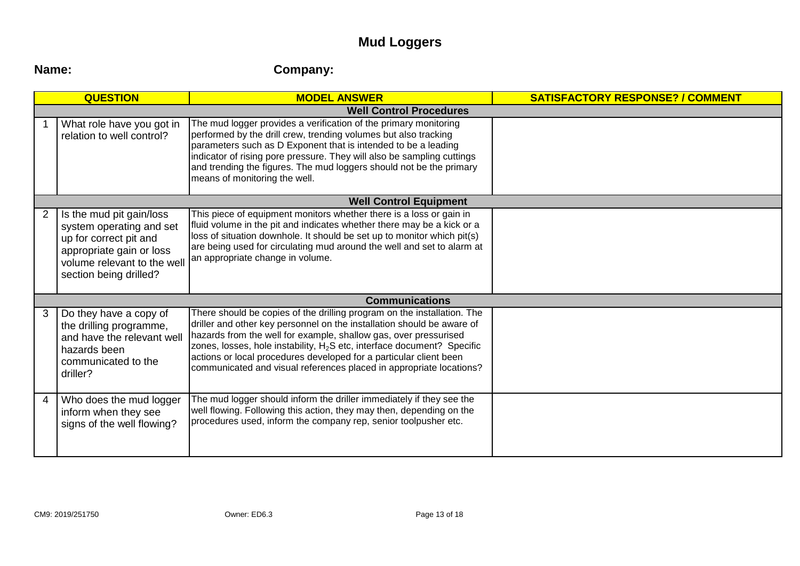# **Mud Loggers**

# **Name: Company:**

|   | <b>QUESTION</b>                                                                                                                                                     | <b>MODEL ANSWER</b>                                                                                                                                                                                                                                                                                                                                                                                                                                       | <b>SATISFACTORY RESPONSE? / COMMENT</b> |
|---|---------------------------------------------------------------------------------------------------------------------------------------------------------------------|-----------------------------------------------------------------------------------------------------------------------------------------------------------------------------------------------------------------------------------------------------------------------------------------------------------------------------------------------------------------------------------------------------------------------------------------------------------|-----------------------------------------|
|   |                                                                                                                                                                     | <b>Well Control Procedures</b>                                                                                                                                                                                                                                                                                                                                                                                                                            |                                         |
|   | What role have you got in<br>relation to well control?                                                                                                              | The mud logger provides a verification of the primary monitoring<br>performed by the drill crew, trending volumes but also tracking<br>parameters such as D Exponent that is intended to be a leading<br>indicator of rising pore pressure. They will also be sampling cuttings<br>and trending the figures. The mud loggers should not be the primary<br>means of monitoring the well.                                                                   |                                         |
|   |                                                                                                                                                                     | <b>Well Control Equipment</b>                                                                                                                                                                                                                                                                                                                                                                                                                             |                                         |
| 2 | Is the mud pit gain/loss<br>system operating and set<br>up for correct pit and<br>appropriate gain or loss<br>volume relevant to the well<br>section being drilled? | This piece of equipment monitors whether there is a loss or gain in<br>fluid volume in the pit and indicates whether there may be a kick or a<br>loss of situation downhole. It should be set up to monitor which pit(s)<br>are being used for circulating mud around the well and set to alarm at<br>an appropriate change in volume.                                                                                                                    |                                         |
|   |                                                                                                                                                                     | <b>Communications</b>                                                                                                                                                                                                                                                                                                                                                                                                                                     |                                         |
| 3 | Do they have a copy of<br>the drilling programme,<br>and have the relevant well<br>hazards been<br>communicated to the<br>driller?                                  | There should be copies of the drilling program on the installation. The<br>driller and other key personnel on the installation should be aware of<br>hazards from the well for example, shallow gas, over pressurised<br>zones, losses, hole instability, H <sub>2</sub> S etc, interface document? Specific<br>actions or local procedures developed for a particular client been<br>communicated and visual references placed in appropriate locations? |                                         |
| 4 | Who does the mud logger<br>inform when they see<br>signs of the well flowing?                                                                                       | The mud logger should inform the driller immediately if they see the<br>well flowing. Following this action, they may then, depending on the<br>procedures used, inform the company rep, senior toolpusher etc.                                                                                                                                                                                                                                           |                                         |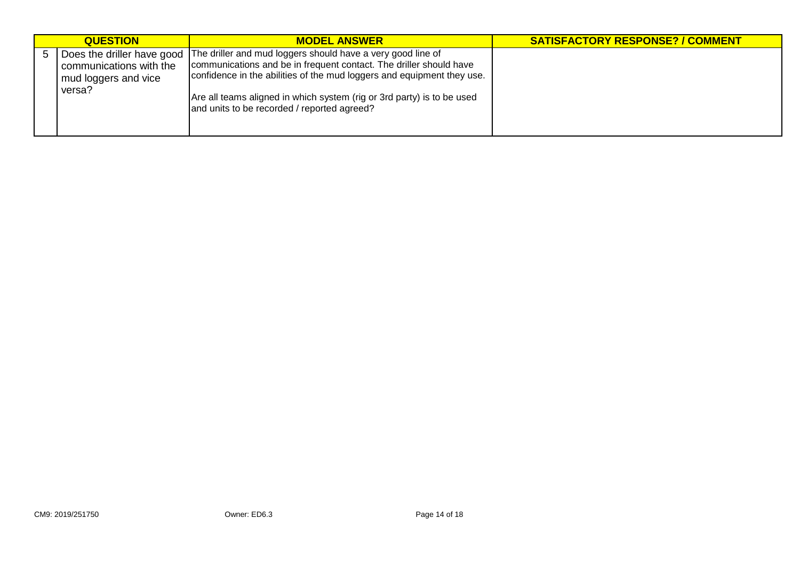| <b>QUESTION</b>                                           | <b>MODEL ANSWER</b>                                                                                                                                                                                                                                                                                                                                               | <b>SATISFACTORY RESPONSE? / COMMENT</b> |
|-----------------------------------------------------------|-------------------------------------------------------------------------------------------------------------------------------------------------------------------------------------------------------------------------------------------------------------------------------------------------------------------------------------------------------------------|-----------------------------------------|
| communications with the<br>mud loggers and vice<br>versa? | Does the driller have good   The driller and mud loggers should have a very good line of<br>communications and be in frequent contact. The driller should have<br>confidence in the abilities of the mud loggers and equipment they use.<br>Are all teams aligned in which system (rig or 3rd party) is to be used<br>and units to be recorded / reported agreed? |                                         |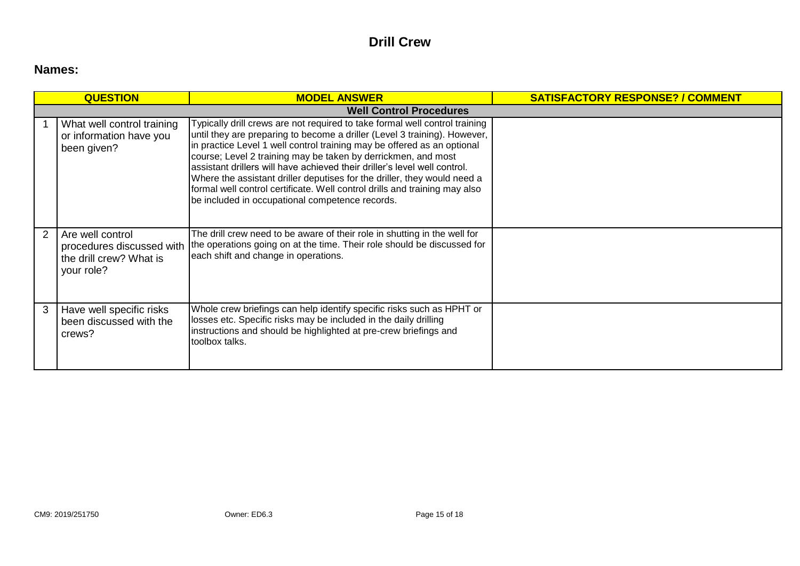# **Drill Crew**

# **Names:**

|                                | <b>QUESTION</b>                                                                        | <b>MODEL ANSWER</b>                                                                                                                                                                                                                                                                                                                                                                                                                                                                                                                                                                            | <b>SATISFACTORY RESPONSE? / COMMENT</b> |  |  |  |  |  |  |
|--------------------------------|----------------------------------------------------------------------------------------|------------------------------------------------------------------------------------------------------------------------------------------------------------------------------------------------------------------------------------------------------------------------------------------------------------------------------------------------------------------------------------------------------------------------------------------------------------------------------------------------------------------------------------------------------------------------------------------------|-----------------------------------------|--|--|--|--|--|--|
| <b>Well Control Procedures</b> |                                                                                        |                                                                                                                                                                                                                                                                                                                                                                                                                                                                                                                                                                                                |                                         |  |  |  |  |  |  |
|                                | What well control training<br>or information have you<br>been given?                   | Typically drill crews are not required to take formal well control training<br>until they are preparing to become a driller (Level 3 training). However,<br>in practice Level 1 well control training may be offered as an optional<br>course; Level 2 training may be taken by derrickmen, and most<br>assistant drillers will have achieved their driller's level well control.<br>Where the assistant driller deputises for the driller, they would need a<br>formal well control certificate. Well control drills and training may also<br>be included in occupational competence records. |                                         |  |  |  |  |  |  |
| $\mathcal{P}$                  | Are well control<br>procedures discussed with<br>the drill crew? What is<br>your role? | The drill crew need to be aware of their role in shutting in the well for<br>the operations going on at the time. Their role should be discussed for<br>each shift and change in operations.                                                                                                                                                                                                                                                                                                                                                                                                   |                                         |  |  |  |  |  |  |
| 3                              | Have well specific risks<br>been discussed with the<br>crews?                          | Whole crew briefings can help identify specific risks such as HPHT or<br>losses etc. Specific risks may be included in the daily drilling<br>instructions and should be highlighted at pre-crew briefings and<br>toolbox talks.                                                                                                                                                                                                                                                                                                                                                                |                                         |  |  |  |  |  |  |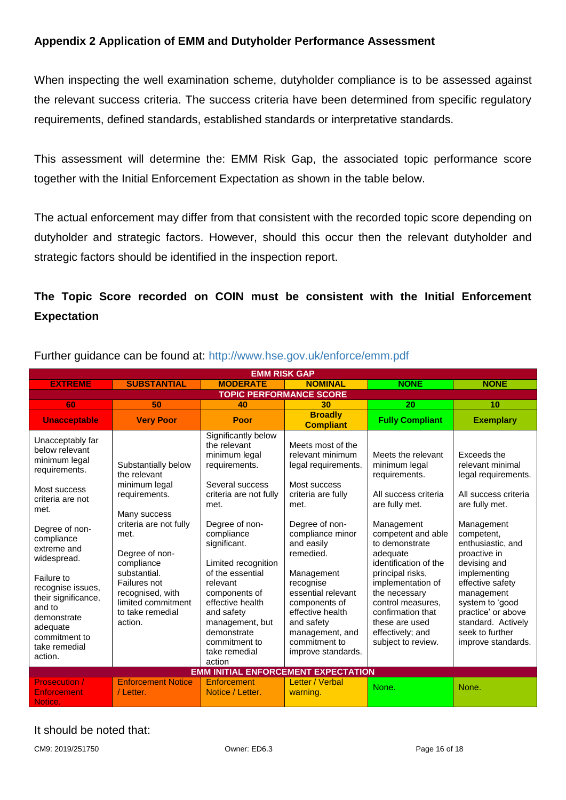# <span id="page-15-0"></span>**Appendix 2 Application of EMM and Dutyholder Performance Assessment**

When inspecting the well examination scheme, dutyholder compliance is to be assessed against the relevant success criteria. The success criteria have been determined from specific regulatory requirements, defined standards, established standards or interpretative standards.

This assessment will determine the: EMM Risk Gap, the associated topic performance score together with the Initial Enforcement Expectation as shown in the table below.

The actual enforcement may differ from that consistent with the recorded topic score depending on dutyholder and strategic factors. However, should this occur then the relevant dutyholder and strategic factors should be identified in the inspection report.

# **The Topic Score recorded on COIN must be consistent with the Initial Enforcement Expectation**

| <b>EMM RISK GAP</b>                                                                                                                                                                                                                                                                                                        |                                                                                                                                                                                                                                                                  |                                                                                                                                                                                                                                                                                                                                                                    |                                                                                                                                                                                                                                                                                                                                           |                                                                                                                                                                                                                                                                                                                                                           |                                                                                                                                                                                                                                                                                                                                             |  |  |  |
|----------------------------------------------------------------------------------------------------------------------------------------------------------------------------------------------------------------------------------------------------------------------------------------------------------------------------|------------------------------------------------------------------------------------------------------------------------------------------------------------------------------------------------------------------------------------------------------------------|--------------------------------------------------------------------------------------------------------------------------------------------------------------------------------------------------------------------------------------------------------------------------------------------------------------------------------------------------------------------|-------------------------------------------------------------------------------------------------------------------------------------------------------------------------------------------------------------------------------------------------------------------------------------------------------------------------------------------|-----------------------------------------------------------------------------------------------------------------------------------------------------------------------------------------------------------------------------------------------------------------------------------------------------------------------------------------------------------|---------------------------------------------------------------------------------------------------------------------------------------------------------------------------------------------------------------------------------------------------------------------------------------------------------------------------------------------|--|--|--|
| <b>EXTREME</b>                                                                                                                                                                                                                                                                                                             | <b>SUBSTANTIAL</b>                                                                                                                                                                                                                                               | <b>MODERATE</b>                                                                                                                                                                                                                                                                                                                                                    | <b>NOMINAL</b>                                                                                                                                                                                                                                                                                                                            | <b>NONE</b>                                                                                                                                                                                                                                                                                                                                               | <b>NONE</b>                                                                                                                                                                                                                                                                                                                                 |  |  |  |
| <b>TOPIC PERFORMANCE SCORE</b>                                                                                                                                                                                                                                                                                             |                                                                                                                                                                                                                                                                  |                                                                                                                                                                                                                                                                                                                                                                    |                                                                                                                                                                                                                                                                                                                                           |                                                                                                                                                                                                                                                                                                                                                           |                                                                                                                                                                                                                                                                                                                                             |  |  |  |
| 60                                                                                                                                                                                                                                                                                                                         | 50                                                                                                                                                                                                                                                               | 40                                                                                                                                                                                                                                                                                                                                                                 | 30                                                                                                                                                                                                                                                                                                                                        | 20                                                                                                                                                                                                                                                                                                                                                        | 10                                                                                                                                                                                                                                                                                                                                          |  |  |  |
| <b>Unacceptable</b>                                                                                                                                                                                                                                                                                                        | <b>Very Poor</b>                                                                                                                                                                                                                                                 | Poor                                                                                                                                                                                                                                                                                                                                                               | <b>Broadly</b><br><b>Compliant</b>                                                                                                                                                                                                                                                                                                        | <b>Fully Compliant</b>                                                                                                                                                                                                                                                                                                                                    | <b>Exemplary</b>                                                                                                                                                                                                                                                                                                                            |  |  |  |
| Unacceptably far<br>below relevant<br>minimum legal<br>requirements.<br>Most success<br>criteria are not<br>met.<br>Degree of non-<br>compliance<br>extreme and<br>widespread.<br>Failure to<br>recognise issues,<br>their significance,<br>and to<br>demonstrate<br>adequate<br>commitment to<br>take remedial<br>action. | Substantially below<br>the relevant<br>minimum legal<br>requirements.<br>Many success<br>criteria are not fully<br>met.<br>Degree of non-<br>compliance<br>substantial.<br>Failures not<br>recognised, with<br>limited commitment<br>to take remedial<br>action. | Significantly below<br>the relevant<br>minimum legal<br>requirements.<br>Several success<br>criteria are not fully<br>met.<br>Degree of non-<br>compliance<br>significant.<br>Limited recognition<br>of the essential<br>relevant<br>components of<br>effective health<br>and safety<br>management, but<br>demonstrate<br>commitment to<br>take remedial<br>action | Meets most of the<br>relevant minimum<br>legal requirements.<br>Most success<br>criteria are fully<br>met.<br>Degree of non-<br>compliance minor<br>and easily<br>remedied.<br>Management<br>recognise<br>essential relevant<br>components of<br>effective health<br>and safety<br>management, and<br>commitment to<br>improve standards. | Meets the relevant<br>minimum legal<br>requirements.<br>All success criteria<br>are fully met.<br>Management<br>competent and able<br>to demonstrate<br>adequate<br>identification of the<br>principal risks,<br>implementation of<br>the necessary<br>control measures.<br>confirmation that<br>these are used<br>effectively; and<br>subject to review. | Exceeds the<br>relevant minimal<br>legal requirements.<br>All success criteria<br>are fully met.<br>Management<br>competent,<br>enthusiastic, and<br>proactive in<br>devising and<br>implementing<br>effective safety<br>management<br>system to 'good<br>practice' or above<br>standard. Actively<br>seek to further<br>improve standards. |  |  |  |
| <b>EMM INITIAL ENFORCEMENT EXPECTATION</b>                                                                                                                                                                                                                                                                                 |                                                                                                                                                                                                                                                                  |                                                                                                                                                                                                                                                                                                                                                                    |                                                                                                                                                                                                                                                                                                                                           |                                                                                                                                                                                                                                                                                                                                                           |                                                                                                                                                                                                                                                                                                                                             |  |  |  |
| <b>Prosecution /</b><br>Enforcement<br>Notice.                                                                                                                                                                                                                                                                             | <b>Enforcement Notice</b><br>/ Letter.                                                                                                                                                                                                                           | Enforcement<br>Notice / Letter.                                                                                                                                                                                                                                                                                                                                    | Letter / Verbal<br>warning.                                                                                                                                                                                                                                                                                                               | None.                                                                                                                                                                                                                                                                                                                                                     | None.                                                                                                                                                                                                                                                                                                                                       |  |  |  |

Further guidance can be found at:<http://www.hse.gov.uk/enforce/emm.pdf>

# It should be noted that: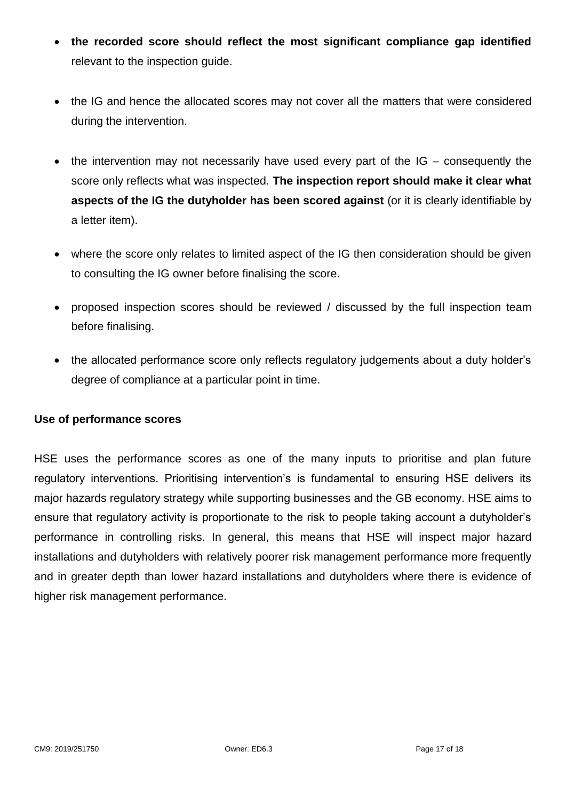- **the recorded score should reflect the most significant compliance gap identified** relevant to the inspection guide.
- the IG and hence the allocated scores may not cover all the matters that were considered during the intervention.
- the intervention may not necessarily have used every part of the IG consequently the score only reflects what was inspected. **The inspection report should make it clear what aspects of the IG the dutyholder has been scored against** (or it is clearly identifiable by a letter item).
- where the score only relates to limited aspect of the IG then consideration should be given to consulting the IG owner before finalising the score.
- proposed inspection scores should be reviewed / discussed by the full inspection team before finalising.
- the allocated performance score only reflects regulatory judgements about a duty holder's degree of compliance at a particular point in time.

#### **Use of performance scores**

HSE uses the performance scores as one of the many inputs to prioritise and plan future regulatory interventions. Prioritising intervention's is fundamental to ensuring HSE delivers its major hazards regulatory strategy while supporting businesses and the GB economy. HSE aims to ensure that regulatory activity is proportionate to the risk to people taking account a dutyholder's performance in controlling risks. In general, this means that HSE will inspect major hazard installations and dutyholders with relatively poorer risk management performance more frequently and in greater depth than lower hazard installations and dutyholders where there is evidence of higher risk management performance.